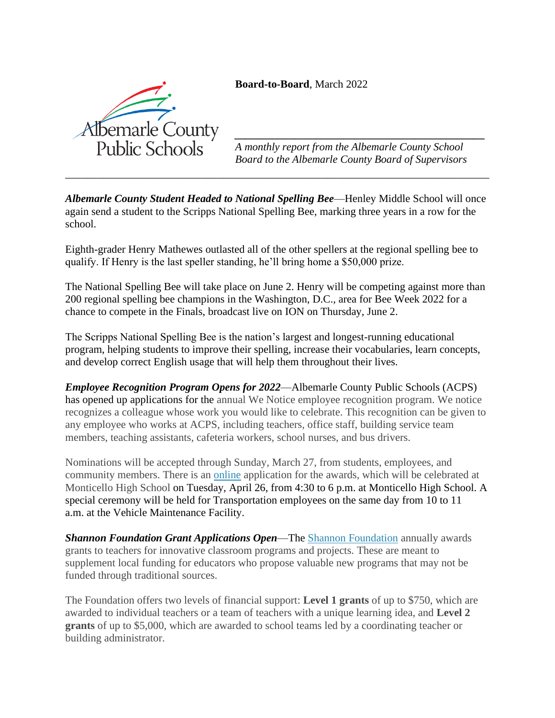**Board-to-Board**, March 2022



*A monthly report from the Albemarle County School Board to the Albemarle County Board of Supervisors*

*\_\_\_\_\_\_\_\_\_\_\_\_\_\_\_\_\_\_\_\_\_\_\_\_\_\_\_\_\_\_\_\_\_\_\_\_\_\_\_\_\_\_\_\_\_\_*

*Albemarle County Student Headed to National Spelling Bee*—Henley Middle School will once again send a student to the Scripps National Spelling Bee, marking three years in a row for the school.

*\_\_\_\_\_\_\_\_\_\_\_\_\_\_\_\_\_\_\_\_\_\_\_\_\_\_\_\_\_\_\_\_\_\_\_\_\_\_\_\_\_\_\_\_\_\_\_\_\_\_\_\_\_\_\_\_\_\_\_\_\_\_\_\_\_\_\_\_\_\_\_\_\_\_\_\_\_\_*

Eighth-grader Henry Mathewes outlasted all of the other spellers at the regional spelling bee to qualify. If Henry is the last speller standing, he'll bring home a \$50,000 prize.

The National Spelling Bee will take place on June 2. Henry will be competing against more than 200 regional spelling bee champions in the Washington, D.C., area for Bee Week 2022 for a chance to compete in the Finals, broadcast live on ION on Thursday, June 2.

The Scripps National Spelling Bee is the nation's largest and longest-running educational program, helping students to improve their spelling, increase their vocabularies, learn concepts, and develop correct English usage that will help them throughout their lives.

*Employee Recognition Program Opens for 2022*—Albemarle County Public Schools (ACPS) has opened up applications for the annual We Notice employee recognition program. We notice recognizes a colleague whose work you would like to celebrate. This recognition can be given to any employee who works at ACPS, including teachers, office staff, building service team members, teaching assistants, cafeteria workers, school nurses, and bus drivers.

Nominations will be accepted through Sunday, March 27, from students, employees, and community members. There is an [online](https://survey.k12insight.com/r/1Bs22m) application for the awards, which will be celebrated at Monticello High School on Tuesday, April 26, from 4:30 to 6 p.m. at Monticello High School. A special ceremony will be held for Transportation employees on the same day from 10 to 11 a.m. at the Vehicle Maintenance Facility.

*Shannon Foundation Grant Applications Open*—The [Shannon Foundation](https://www.shannongrants.org/) annually awards grants to teachers for innovative classroom programs and projects. These are meant to supplement local funding for educators who propose valuable new programs that may not be funded through traditional sources.

The Foundation offers two levels of financial support: **Level 1 grants** of up to \$750, which are awarded to individual teachers or a team of teachers with a unique learning idea, and **Level 2 grants** of up to \$5,000, which are awarded to school teams led by a coordinating teacher or building administrator.